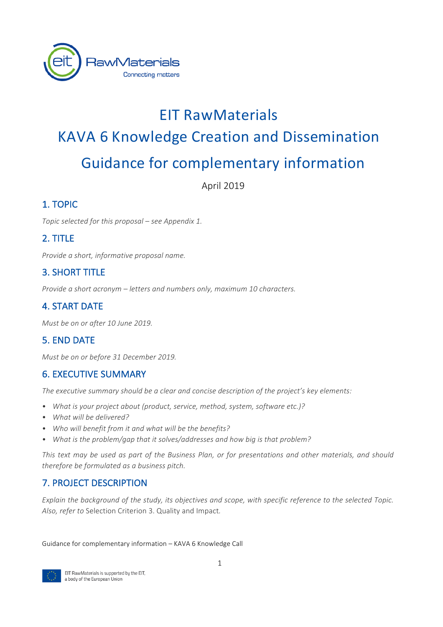

# **EIT RawMaterials** KAVA 6 Knowledge Creation and Dissemination Guidance for complementary information

April 2019

## 1. TOPIC

*Topic selected for this proposal – see Appendix 1.* 

# 2. TITLE

*Provide a short, informative proposal name.* 

# **3. SHORT TITLE**

*Provide a short acronym* – *letters and numbers only, maximum 10 characters.* 

# **4. START DATE**

*Must be on or after 10 June 2019.* 

## 5. FND DATF

*Must be on or before 31 December 2019.* 

#### **6. EXECUTIVE SUMMARY**

The executive summary should be a clear and concise description of the project's key elements:

- What is your project about (product, service, method, system, software etc.)?
- What will be delivered?
- Who will benefit from it and what will be the benefits?
- *What is the problem/gap that it solves/addresses and how big is that problem?*

This text may be used as part of the Business Plan, or for presentations and other materials, and should *therefore be formulated as a business pitch.*

## 7. PROJECT DESCRIPTION

*Explain the background of the study, its objectives and scope, with specific reference to the selected Topic.* Also, refer to Selection Criterion 3. Quality and Impact.

Guidance for complementary information – KAVA 6 Knowledge Call